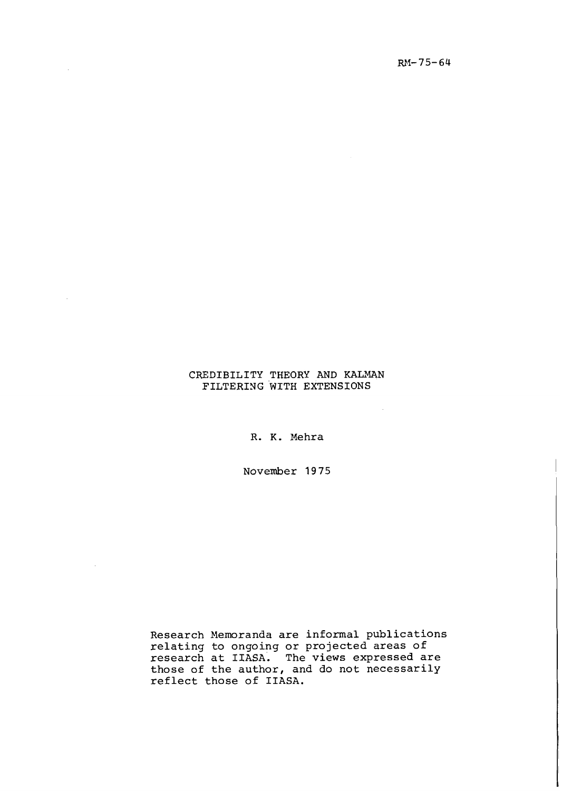## CREDIBILITY THEORY AND KALMAN **FILTERING WITH EXTENSIONS**

 $\sim$ 

**R. K. Mehra** 

**November 19 75** 

**Research Memoranda are informal publications relating to ongoing or projected areas of research at IIASA. The views expressed are those of the author, and do not necessarily reflect those of IIASA.**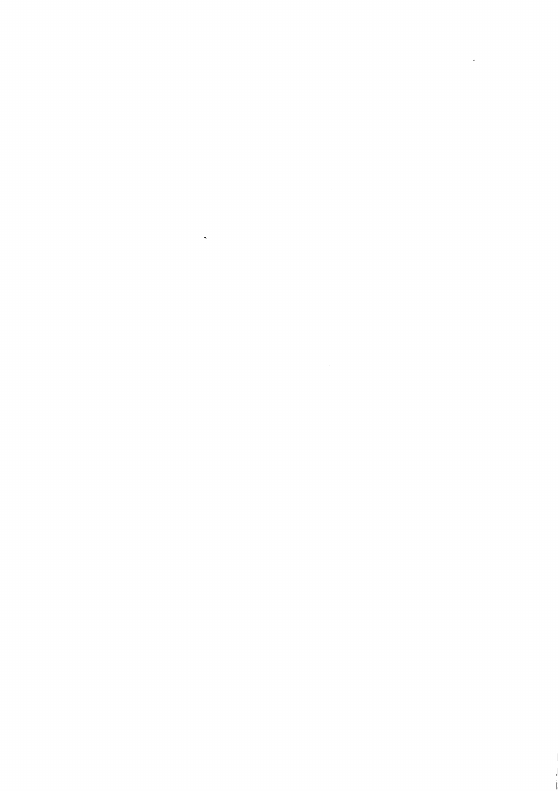$\mathcal{L}^{\text{max}}_{\text{max}}$  and  $\mathcal{L}^{\text{max}}_{\text{max}}$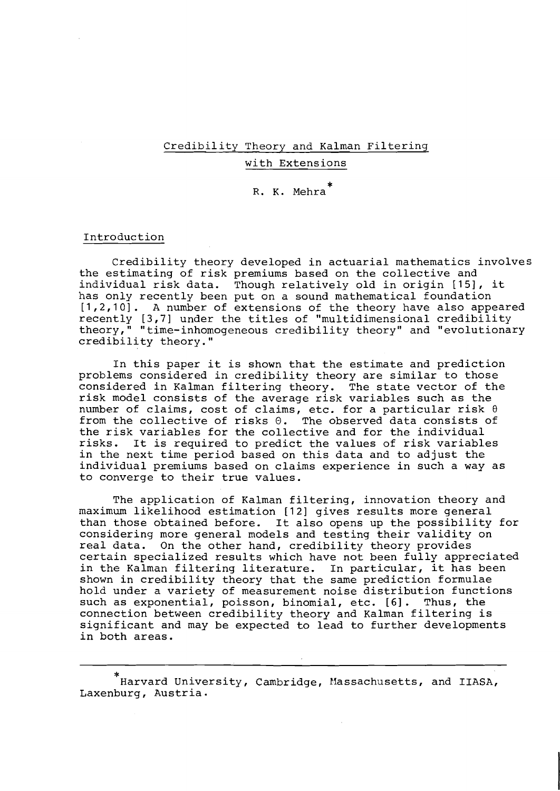# Credibility Theory and Kalman Filtering

with Extensions

\* R. K. Mehra

#### Introduction

Credibility theory developed in actuarial mathematics involves the estimating of risk premiums based on the collective and the estimating of risk premiums based on the collective and<br>individual risk data. Though relatively old in origin [15], it has only recently been put on a sound mathematical foundation [1,2,10]. A number of extensions of the theory have also appeared recently [3,7] under the titles of "multidimensional credibility theory," "time-inhomogeneous credibility theory" and "evolutionary credibility theory."

In this paper it is shown that the estimate and prediction problems considered in credibility theory are similar to those considered in Kalman filtering theory. The state vector of the risk model consists of the average risk variables such as the number of claims, cost of claims, etc. for a particular risk **0**  from the collective of risks 0. The observed data consists of the risk variables for the collective and for the individual risks. It is required to predict the values of risk variables in the next time period based on this data and to adjust the individual premiums based on claims experience in such a way as to converge to their true values.

The application of Kalman filtering, innovation theory and maximum likelihood estimation [12] gives results more general than those obtained before. It also opens up the possibility for considering more general models and testing their validity on real data. On the other hand, credibility theory provides certain specialized results which have not been fully appreciated in the Kalman filtering literature. In particular, it has been shown in credibility theory that the same prediction formulae hold under a variety of measurement noise distribution functions such as exponential, poisson, binomial, etc. [6]. Thus, the connection between credibility theory and Kalman filtering is significant and may be expected to lead to further developments in both areas.

\* Harvard University, Cambridge, Massachusetts, and IIASA, Laxenburg, Austria.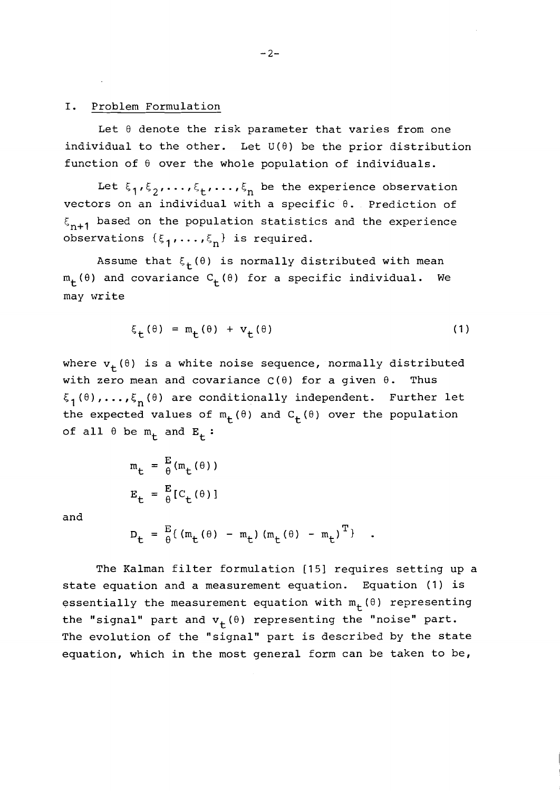# I. Problem Formulation

Let  $\theta$  denote the risk parameter that varies from one individual to the other. Let  $U(\theta)$  be the prior distribution function of 6 over the whole population of individuals.

Let  $\xi_1,\xi_2,\ldots,\xi_t,\ldots,\xi_n$  be the experience observation vectors on an individual with a specific  $\theta$ . Prediction of  $\xi_{n+1}$  based on the population statistics and the experience observations  $\{\xi_1, \ldots, \xi_n\}$  is required.

Assume that  $\xi_+(\theta)$  is normally distributed with mean  $m_t (\theta)$  and covariance  $C_t (\theta)$  for a specific individual. We may write

$$
\xi_{+}(\theta) = m_{+}(\theta) + v_{+}(\theta) \tag{1}
$$

where  $v_{+}(\theta)$  is a white noise sequence, normally distributed with zero mean and covariance  $C(\theta)$  for a given  $\theta$ . Thus  $\xi_1(\theta)$ ,..., $\xi_n(\theta)$  are conditionally independent. Further let the expected values of  $m_t(\theta)$  and  $C_t(\theta)$  over the population of all  $\theta$  be  $m_+$  and  $E_+$ :

$$
m_{t} = \frac{E}{\theta} (m_{t} (\theta))
$$

$$
E_{t} = \frac{E}{\theta} [C_{t} (\theta)]
$$

and

$$
D_{t} = \frac{E}{\theta} \{ (m_{t} (\theta) - m_{t}) (m_{t} (\theta) - m_{t})^{T} \} .
$$

The Kalman filter formulation [15] requires setting up a state equation and a measurement equation. Equation (1) is essentially the measurement equation with  $m_t(\theta)$  representing the "signal" part and  $v_t(\theta)$  representing the "noise" part. The evolution of the "signal" part is described by the state equation, which in the most general form can be taken to be,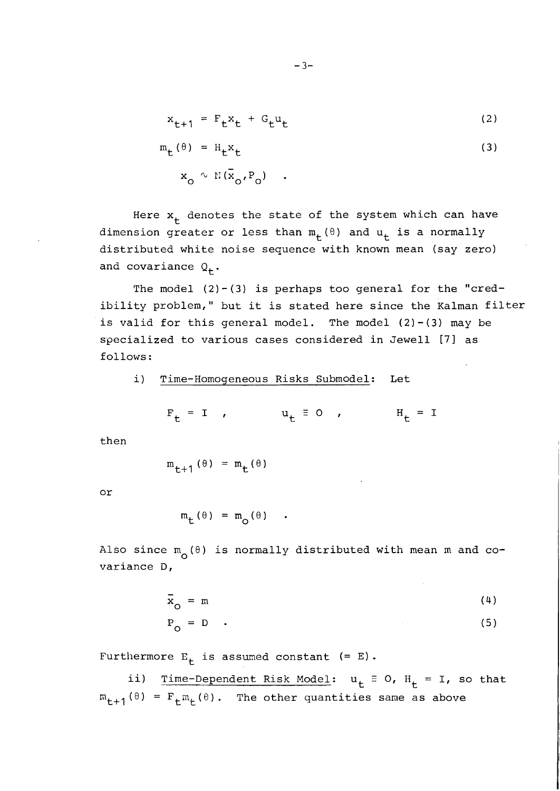$$
x_{t+1} = F_t x_t + G_t u_t \tag{2}
$$

$$
m_{t}(\theta) = H_{t}x_{t}
$$
\n
$$
x_{0} \sim E(\bar{x}_{0}, P_{0})
$$
\n(3)

Here  $x_+$  denotes the state of the system which can have dimension greater or less than  $m_t(\theta)$  and  $u_t$  is a normally distributed white noise sequence with known mean (say zero) and covariance  $Q_+$ .

The model  $(2)-(3)$  is perhaps too general for the "credibility problem," but it is stated here since the Kalman filter is valid for this general model. The model  $(2) - (3)$  may be specialized to various cases considered in Jewel1 [71 as follows:

i) Time-Homogeneous Risks Submodel: Let

 $F_t = I$  ,  $u_t \equiv 0$  ,  $H_t = I$ 

then

$$
m_{t+1}(\theta) = m_t(\theta)
$$

or

$$
m_{+}(\theta) = m_{0}(\theta)
$$

Also since  $\mathfrak{m}_{_{\mathbf{O}}}(\theta)$  is normally distributed with mean  $\mathfrak{m}$  and covariance **D,** 

$$
\bar{\mathbf{x}}_{\cap} = \mathbf{m} \tag{4}
$$

$$
P_{\Omega} = D \tag{5}
$$

Furthermore  $E_t$  is assumed constant  $(= E)$ .

ii) Time-Dependent Risk Model:  $u_t \equiv 0$ ,  $H_t = I$ , so that  $m_{t+1}(\theta) = F_{t}m_{t}(\theta)$ . The other quantities same as above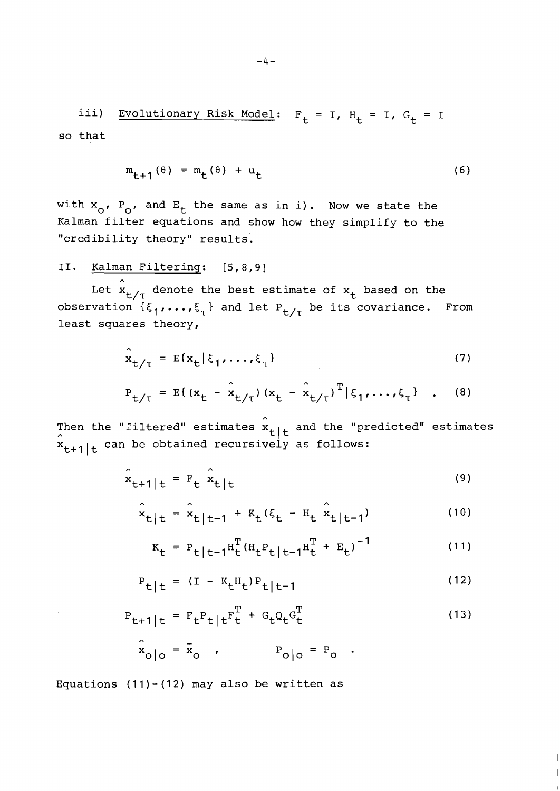iii) Evolutionary Risk Model:  $F_t = I$ ,  $H_t = I$ ,  $G_t = I$ so that

$$
m_{t+1}(\theta) = m_t(\theta) + u_t \tag{6}
$$

with  $x_0$ ,  $P_0$ , and  $E_t$  the same as in i). Now we state the Kalman filter equations and show how they simplify to the "credibility theory" results.

# 11. Kalman Filtering: [5,8,9]

Let  $\hat{x}_{t/\tau}$  denote the best estimate of  $x_t$  based on the observation  $\{\xi_1,\ldots,\xi_{\tau}\}\$  and let  $P_{t/\tau}$  be its covariance. From least squares theory,

$$
\hat{\mathbf{x}}_{t/\tau} = \mathbf{E}\{\mathbf{x}_t | \xi_1, \dots, \xi_\tau\} \tag{7}
$$

$$
P_{t/\tau} = E[(x_t - \hat{x}_{t/\tau})(x_t - \hat{x}_{t/\tau})^T | \xi_1, ..., \xi_\tau]. \quad . \quad (8)
$$

Then the "filtered" estimates  $\hat{\textbf{x}}_{\texttt{t}|\texttt{t}}^{\hat{}}$  and the "predicted" estimates t | t |<br>. 1  $\mathbf{x_{t+1|t}}$  can be obtained recursively as follows:

$$
\hat{\mathbf{x}}_{t+1|t} = \mathbf{F}_t \hat{\mathbf{x}}_t|t \tag{9}
$$

$$
\hat{\mathbf{x}}_{t|t} = \hat{\mathbf{x}}_{t|t-1} + \mathbf{K}_{t}(\xi_{t} - \mathbf{H}_{t} \hat{\mathbf{x}}_{t|t-1})
$$
 (10)

$$
K_{t} = P_{t|t-1}H_{t}^{T}(H_{t}P_{t|t-1}H_{t}^{T} + E_{t})^{-1}
$$
 (11)

$$
P_{t|t} = (I - K_t H_t) P_{t|t-1}
$$
 (12)

$$
P_{t+1|t} = F_t P_t |t^T_t + G_t Q_t G_t^T
$$
 (13)

$$
\hat{\mathbf{x}}_{\mathsf{O}\,|\,\mathsf{O}} = \bar{\mathbf{x}}_{\mathsf{O}} \qquad \qquad \mathbf{P}_{\mathsf{O}\,|\,\mathsf{O}} = \mathbf{P}_{\mathsf{O}}
$$

Equations  $(11)-(12)$  may also be written as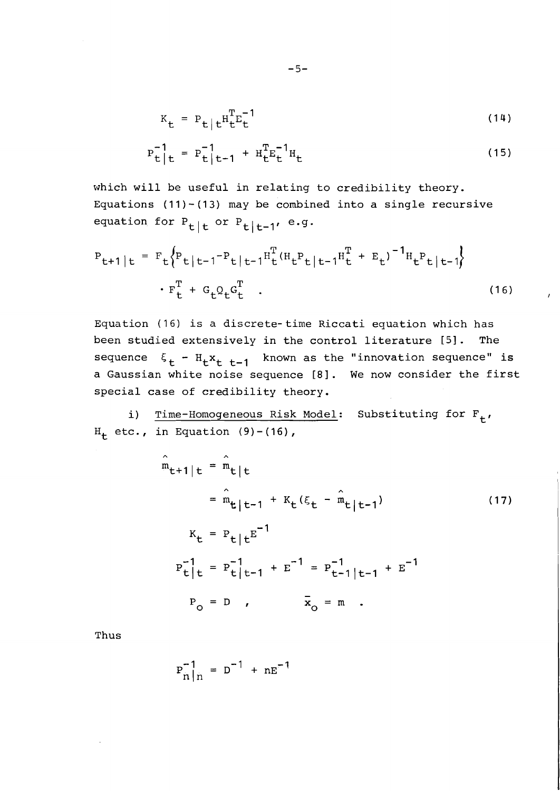$$
K_{\mathbf{t}} = P_{\mathbf{t}} | \mathbf{t}^{\mathrm{H}} \mathbf{t}^{\mathrm{H}} \mathbf{t}^{-1}
$$
 (14)

$$
P_{t}^{-1}|_{t} = P_{t}^{-1}|_{t-1} + H_{t}^{T}E_{t}^{-1}H_{t}
$$
 (15)

which will be useful in relating to credibility theory. Equations  $(11)-(13)$  may be combined into a single recursive equation for  $P_{t|t}$  or  $P_{t|t-1}$  e.g.

$$
P_{t+1}|_{t} = F_{t}\left\{P_{t}|t-1^{-P}t|t-1^{H_{t}^{T}(H_{t}P_{t}|t-1^{H_{t}^{T}}+ E_{t})^{-1}H_{t}P_{t}|t-1}\right\}
$$

$$
\cdot F_{t}^{T} + G_{t}Q_{t}G_{t}^{T} \qquad (16)
$$

Equation (16) is a discrete-time Riccati equation which has been studied extensively in the control literature [51. The sequence  $\xi_t$  -  $H_t x_t$   $_{t-1}$  known as the "innovation sequence" is a Gaussian white noise sequence **[8].** We now consider the first special case of credibility theory.

i) Time-Homogeneous Risk Model: Substituting for  $F_t$ ,  $H_+$  etc., in Equation (9)-(16),

$$
\hat{m}_{t+1|t} = \hat{m}_{t|t} \n= \hat{m}_{t|t-1} + K_{t}(\xi_{t} - \hat{m}_{t|t-1}) \qquad (17) \nK_{t} = P_{t|t} E^{-1} \nP_{t|t}^{-1} = P_{t|t-1}^{-1} + E^{-1} = P_{t-1|t-1}^{-1} + E^{-1} \nP_{o} = D , \qquad \bar{x}_{o} = m .
$$

Thus

$$
P_{n}^{-1}|_{n} = D^{-1} + nE^{-1}
$$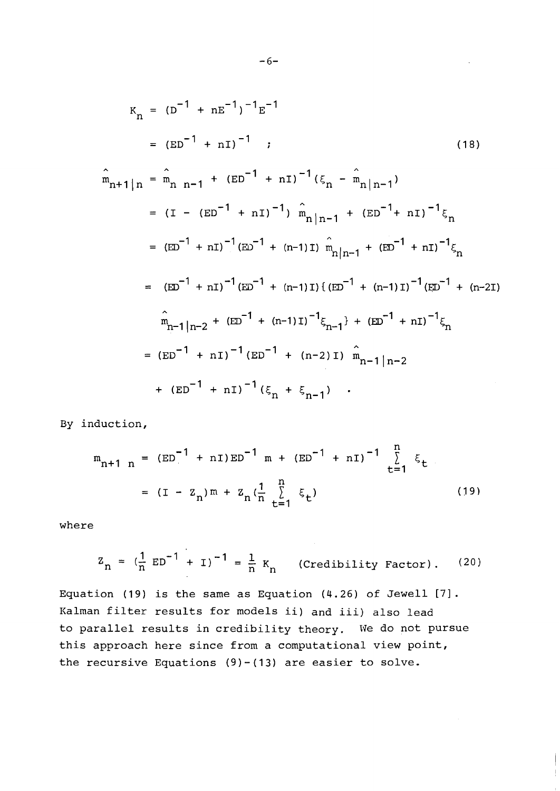$$
K_{n} = (D^{-1} + nE^{-1})^{-1}E^{-1}
$$
\n
$$
= (ED^{-1} + nI)^{-1} ; \qquad (18)
$$
\n
$$
\hat{m}_{n+1|n} = \hat{m}_{n} n - 1 + (ED^{-1} + nI)^{-1} (\xi_{n} - \hat{m}_{n|n-1})
$$
\n
$$
= (I - (ED^{-1} + nI)^{-1}) \hat{m}_{n|n-1} + (ED^{-1} + nI)^{-1} \xi_{n}
$$
\n
$$
= (ED^{-1} + nI)^{-1} (ED^{-1} + (n-1)I) \hat{m}_{n|n-1} + (ED^{-1} + nI)^{-1} \xi_{n}
$$
\n
$$
= (ED^{-1} + nI)^{-1} (ED^{-1} + (n-1)I) \{(ED^{-1} + (n-1)I)^{-1} (ED^{-1} + (n-2I) \hat{m}_{n-1|n-2} + (ED^{-1} + nI)^{-1} \xi_{n-1} \} + (ED^{-1} + nI)^{-1} \xi_{n}
$$
\n
$$
= (ED^{-1} + nI)^{-1} (ED^{-1} + (n-2)I) \hat{m}_{n-1|n-2}
$$
\n
$$
+ (ED^{-1} + nI)^{-1} (\xi_{n} + \xi_{n-1})
$$

By induction,

$$
m_{n+1 n} = (ED^{-1} + nI)ED^{-1} m + (ED^{-1} + nI)^{-1} \sum_{t=1}^{n} \xi_t
$$
  
=  $(I - Z_n)m + Z_n(\frac{1}{n} \sum_{t=1}^{n} \xi_t)$  (19)

where

$$
Z_n = \left(\frac{1}{n} \operatorname{ED}^{-1} + I\right)^{-1} = \frac{1}{n} K_n \quad \text{(Credibility Factor)}.
$$
 (20)

Equation (19) is the same as Equation (4.26) of Jewel1 [71. Kalman filter results for models ii) and iii) also lead to parallel results in credibility theory. We do not pursue this approach here since from a computational view point, the recursive Equations  $(9)-(13)$  are easier to solve.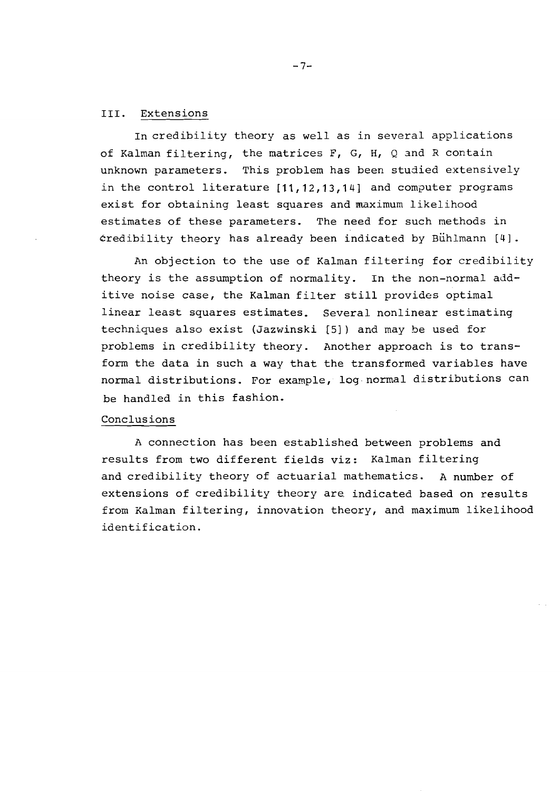## 111. Extensions

In credibility theory as well as in several applications of Kalman filtering, the matrices F, G, H, Q and R contain unknown parameters. This problem has been studied extensively in the control literature [11,12,13,14] and computer programs exist for obtaining least squares and maximum likelihood estimates of these parameters. The need for such methods in  $c$ redibility theory has already been indicated by Bühlmann  $[4]$ .

An objection to the use of Kalman filtering for credibility theory is the assumption of normality. In the non-normal additive noise case, the Kalman filter still provides optimal linear least squares estimates. Several nonlinear estimating techniques also exist (Jazwinski [5] ) and may be used for problems in credibility theory. Another approach is to transform the data in such a way that the transformed variables have normal distributions. For example, log- normal distributions can be handled in this fashion.

#### Conclusions

A connection has been established between problems and results from two different fields viz: Kalman filtering and credibility theory of actuarial mathematics. A number of extensions of credibility theory are indicated based on results from Kalman filtering, innovation theory, and maximum likelihood identification.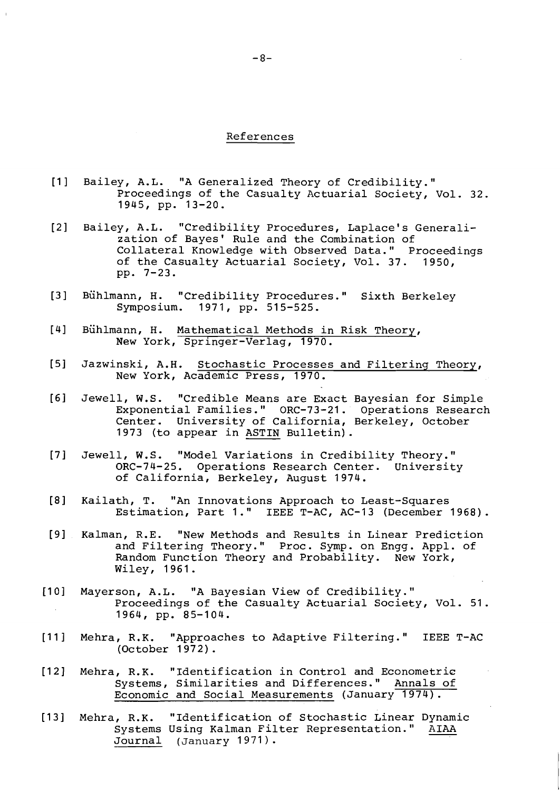## References

- $[1]$ Bailey, A.L. "A Generalized Theory of Credibility." Proceedings of the Casualty Actuarial Society, Vol. 32. 1945, pp. 13-20.
- $121$ Bailey, A.L. "Credibility Procedures, Laplace's Generalization of Bayes' Rule and the Combination of Collateral Knowledge with Observed Data." Proceedings of the Casualty Actuarial Society, Vol. 37. 1950, pp. 7-23.
- $131$ Buhlmann, H. "Credibility Procedures." Sixth Berkeley Symposium. 1971, pp. 515-525.
- $[4]$ Bühlmann, H. Mathematical Methods in Risk Theory, New York, Springer-Verlag, 1970.
- $[5]$ Jazwinski, A.H. Stochastic Processes and Filtering Theory, New York, Academic Press, 1970.
- $[6]$ Jewell, W.S. "Credible Means are Exact Bayesian for Simple Exponential Families." ORC-73-21. Operations Research Center. University of California, Berkeley, October<br>1973 (to appear in <u>ASTIN</u> Bulletin).
- $[7]$ Jewell, W.S. "Model Variations in Credibility Theory." ORC-74-25. Operations Research Center. University of California, Berkeley, August 1974.
- $[8]$ Kailath, T. "An Innovations Approach to Least-Squares Estimation, Part 1." IEEE T-AC, AC-13 (December 1968).
- $[9]$ Kalman, R.E. "New Methods and Results in Linear Prediction and Filtering Theory." Proc. Symp. on Engg. Appl. of Random Function Theory and Probability. New York, Wiley, 1961.
- $[10]$ Mayerson, A.L. "A Bayesian View of Credibility." Proceedings of the Casualty Actuarial Society, Vol. 51. 1964, pp. 85-104.
- $[11]$ Mehra, R.K. "Approaches to Adaptive Filtering." IEEE T-AC (October 1972).
- $[12]$ Mehra, R.K. "Identification in Control and Econometric Systems, Similarities and Differences." Annals of Economic and Social Measurements (January 1974) .
- $[13]$ Mehra, R.K. "Identification of Stochastic Linear Dynamic Systems Using Kalman Filter Representation." AIAA Journal (January 1971).